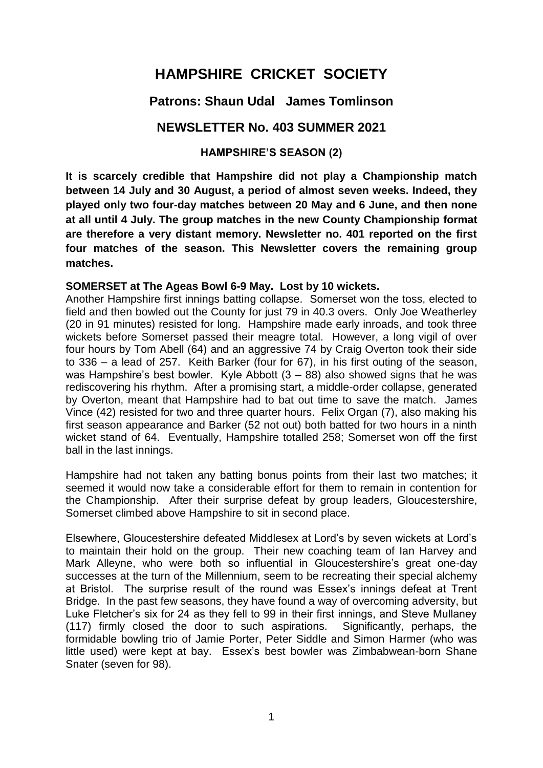# **HAMPSHIRE CRICKET SOCIETY**

# **Patrons: Shaun Udal James Tomlinson**

# **NEWSLETTER No. 403 SUMMER 2021**

#### **HAMPSHIRE'S SEASON (2)**

**It is scarcely credible that Hampshire did not play a Championship match between 14 July and 30 August, a period of almost seven weeks. Indeed, they played only two four-day matches between 20 May and 6 June, and then none at all until 4 July. The group matches in the new County Championship format are therefore a very distant memory. Newsletter no. 401 reported on the first four matches of the season. This Newsletter covers the remaining group matches.** 

#### **SOMERSET at The Ageas Bowl 6-9 May. Lost by 10 wickets.**

Another Hampshire first innings batting collapse. Somerset won the toss, elected to field and then bowled out the County for just 79 in 40.3 overs. Only Joe Weatherley (20 in 91 minutes) resisted for long. Hampshire made early inroads, and took three wickets before Somerset passed their meagre total. However, a long vigil of over four hours by Tom Abell (64) and an aggressive 74 by Craig Overton took their side to 336 – a lead of 257. Keith Barker (four for 67), in his first outing of the season, was Hampshire's best bowler. Kyle Abbott  $(3 - 88)$  also showed signs that he was rediscovering his rhythm. After a promising start, a middle-order collapse, generated by Overton, meant that Hampshire had to bat out time to save the match. James Vince (42) resisted for two and three quarter hours. Felix Organ (7), also making his first season appearance and Barker (52 not out) both batted for two hours in a ninth wicket stand of 64. Eventually, Hampshire totalled 258; Somerset won off the first ball in the last innings.

Hampshire had not taken any batting bonus points from their last two matches; it seemed it would now take a considerable effort for them to remain in contention for the Championship. After their surprise defeat by group leaders, Gloucestershire, Somerset climbed above Hampshire to sit in second place.

Elsewhere, Gloucestershire defeated Middlesex at Lord's by seven wickets at Lord's to maintain their hold on the group. Their new coaching team of Ian Harvey and Mark Alleyne, who were both so influential in Gloucestershire's great one-day successes at the turn of the Millennium, seem to be recreating their special alchemy at Bristol. The surprise result of the round was Essex's innings defeat at Trent Bridge. In the past few seasons, they have found a way of overcoming adversity, but Luke Fletcher's six for 24 as they fell to 99 in their first innings, and Steve Mullaney (117) firmly closed the door to such aspirations. Significantly, perhaps, the formidable bowling trio of Jamie Porter, Peter Siddle and Simon Harmer (who was little used) were kept at bay. Essex's best bowler was Zimbabwean-born Shane Snater (seven for 98).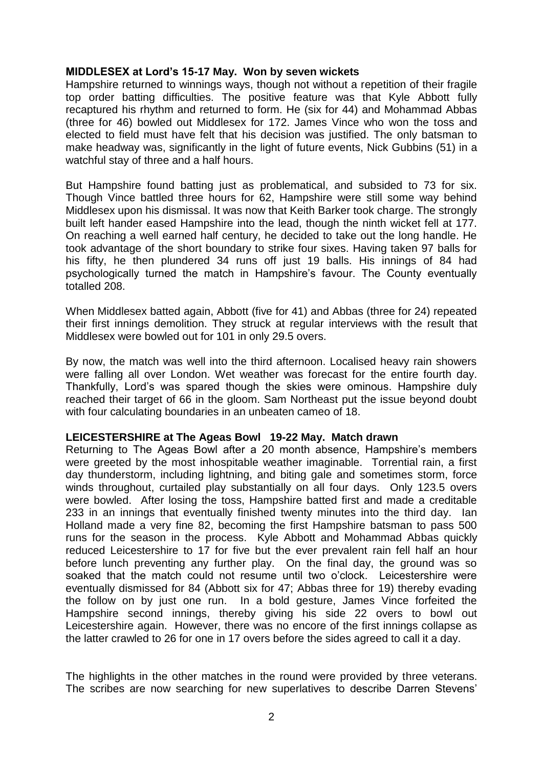#### **MIDDLESEX at Lord's 15-17 May. Won by seven wickets**

Hampshire returned to winnings ways, though not without a repetition of their fragile top order batting difficulties. The positive feature was that Kyle Abbott fully recaptured his rhythm and returned to form. He (six for 44) and Mohammad Abbas (three for 46) bowled out Middlesex for 172. James Vince who won the toss and elected to field must have felt that his decision was justified. The only batsman to make headway was, significantly in the light of future events, Nick Gubbins (51) in a watchful stay of three and a half hours.

But Hampshire found batting just as problematical, and subsided to 73 for six. Though Vince battled three hours for 62, Hampshire were still some way behind Middlesex upon his dismissal. It was now that Keith Barker took charge. The strongly built left hander eased Hampshire into the lead, though the ninth wicket fell at 177. On reaching a well earned half century, he decided to take out the long handle. He took advantage of the short boundary to strike four sixes. Having taken 97 balls for his fifty, he then plundered 34 runs off just 19 balls. His innings of 84 had psychologically turned the match in Hampshire's favour. The County eventually totalled 208.

When Middlesex batted again, Abbott (five for 41) and Abbas (three for 24) repeated their first innings demolition. They struck at regular interviews with the result that Middlesex were bowled out for 101 in only 29.5 overs.

By now, the match was well into the third afternoon. Localised heavy rain showers were falling all over London. Wet weather was forecast for the entire fourth day. Thankfully, Lord's was spared though the skies were ominous. Hampshire duly reached their target of 66 in the gloom. Sam Northeast put the issue beyond doubt with four calculating boundaries in an unbeaten cameo of 18.

#### **LEICESTERSHIRE at The Ageas Bowl 19-22 May. Match drawn**

Returning to The Ageas Bowl after a 20 month absence, Hampshire's members were greeted by the most inhospitable weather imaginable. Torrential rain, a first day thunderstorm, including lightning, and biting gale and sometimes storm, force winds throughout, curtailed play substantially on all four days. Only 123.5 overs were bowled. After losing the toss, Hampshire batted first and made a creditable 233 in an innings that eventually finished twenty minutes into the third day. Ian Holland made a very fine 82, becoming the first Hampshire batsman to pass 500 runs for the season in the process. Kyle Abbott and Mohammad Abbas quickly reduced Leicestershire to 17 for five but the ever prevalent rain fell half an hour before lunch preventing any further play. On the final day, the ground was so soaked that the match could not resume until two o'clock. Leicestershire were eventually dismissed for 84 (Abbott six for 47; Abbas three for 19) thereby evading the follow on by just one run. In a bold gesture, James Vince forfeited the Hampshire second innings, thereby giving his side 22 overs to bowl out Leicestershire again. However, there was no encore of the first innings collapse as the latter crawled to 26 for one in 17 overs before the sides agreed to call it a day.

The highlights in the other matches in the round were provided by three veterans. The scribes are now searching for new superlatives to describe Darren Stevens'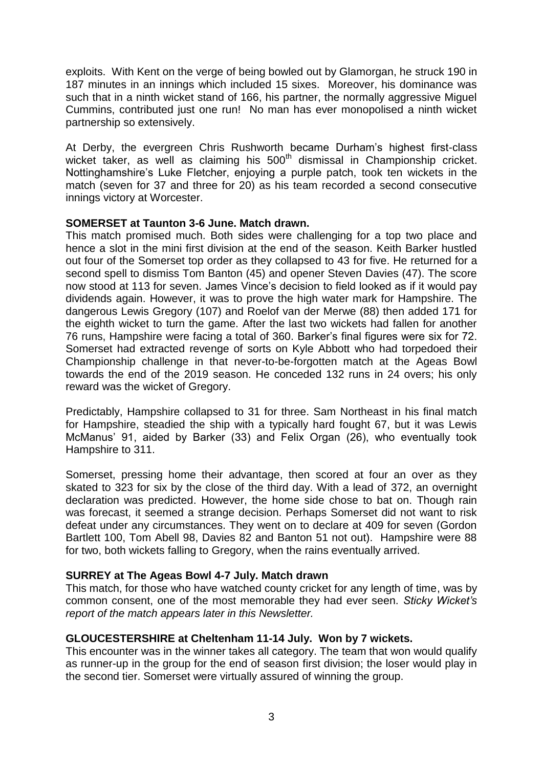exploits. With Kent on the verge of being bowled out by Glamorgan, he struck 190 in 187 minutes in an innings which included 15 sixes. Moreover, his dominance was such that in a ninth wicket stand of 166, his partner, the normally aggressive Miguel Cummins, contributed just one run! No man has ever monopolised a ninth wicket partnership so extensively.

At Derby, the evergreen Chris Rushworth became Durham's highest first-class wicket taker, as well as claiming his 500<sup>th</sup> dismissal in Championship cricket. Nottinghamshire's Luke Fletcher, enjoying a purple patch, took ten wickets in the match (seven for 37 and three for 20) as his team recorded a second consecutive innings victory at Worcester.

#### **SOMERSET at Taunton 3-6 June. Match drawn.**

This match promised much. Both sides were challenging for a top two place and hence a slot in the mini first division at the end of the season. Keith Barker hustled out four of the Somerset top order as they collapsed to 43 for five. He returned for a second spell to dismiss Tom Banton (45) and opener Steven Davies (47). The score now stood at 113 for seven. James Vince's decision to field looked as if it would pay dividends again. However, it was to prove the high water mark for Hampshire. The dangerous Lewis Gregory (107) and Roelof van der Merwe (88) then added 171 for the eighth wicket to turn the game. After the last two wickets had fallen for another 76 runs, Hampshire were facing a total of 360. Barker's final figures were six for 72. Somerset had extracted revenge of sorts on Kyle Abbott who had torpedoed their Championship challenge in that never-to-be-forgotten match at the Ageas Bowl towards the end of the 2019 season. He conceded 132 runs in 24 overs; his only reward was the wicket of Gregory.

Predictably, Hampshire collapsed to 31 for three. Sam Northeast in his final match for Hampshire, steadied the ship with a typically hard fought 67, but it was Lewis McManus' 91, aided by Barker (33) and Felix Organ (26), who eventually took Hampshire to 311.

Somerset, pressing home their advantage, then scored at four an over as they skated to 323 for six by the close of the third day. With a lead of 372, an overnight declaration was predicted. However, the home side chose to bat on. Though rain was forecast, it seemed a strange decision. Perhaps Somerset did not want to risk defeat under any circumstances. They went on to declare at 409 for seven (Gordon Bartlett 100, Tom Abell 98, Davies 82 and Banton 51 not out). Hampshire were 88 for two, both wickets falling to Gregory, when the rains eventually arrived.

#### **SURREY at The Ageas Bowl 4-7 July. Match drawn**

This match, for those who have watched county cricket for any length of time, was by common consent, one of the most memorable they had ever seen. *Sticky Wicket's report of the match appears later in this Newsletter.* 

#### **GLOUCESTERSHIRE at Cheltenham 11-14 July. Won by 7 wickets.**

This encounter was in the winner takes all category. The team that won would qualify as runner-up in the group for the end of season first division; the loser would play in the second tier. Somerset were virtually assured of winning the group.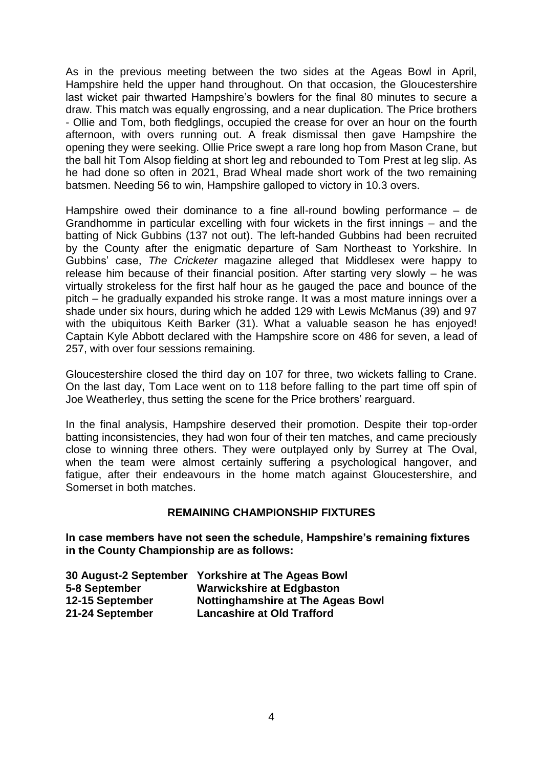As in the previous meeting between the two sides at the Ageas Bowl in April, Hampshire held the upper hand throughout. On that occasion, the Gloucestershire last wicket pair thwarted Hampshire's bowlers for the final 80 minutes to secure a draw. This match was equally engrossing, and a near duplication. The Price brothers - Ollie and Tom, both fledglings, occupied the crease for over an hour on the fourth afternoon, with overs running out. A freak dismissal then gave Hampshire the opening they were seeking. Ollie Price swept a rare long hop from Mason Crane, but the ball hit Tom Alsop fielding at short leg and rebounded to Tom Prest at leg slip. As he had done so often in 2021, Brad Wheal made short work of the two remaining batsmen. Needing 56 to win, Hampshire galloped to victory in 10.3 overs.

Hampshire owed their dominance to a fine all-round bowling performance – de Grandhomme in particular excelling with four wickets in the first innings – and the batting of Nick Gubbins (137 not out). The left-handed Gubbins had been recruited by the County after the enigmatic departure of Sam Northeast to Yorkshire. In Gubbins' case, *The Cricketer* magazine alleged that Middlesex were happy to release him because of their financial position. After starting very slowly – he was virtually strokeless for the first half hour as he gauged the pace and bounce of the pitch – he gradually expanded his stroke range. It was a most mature innings over a shade under six hours, during which he added 129 with Lewis McManus (39) and 97 with the ubiquitous Keith Barker (31). What a valuable season he has enjoyed! Captain Kyle Abbott declared with the Hampshire score on 486 for seven, a lead of 257, with over four sessions remaining.

Gloucestershire closed the third day on 107 for three, two wickets falling to Crane. On the last day, Tom Lace went on to 118 before falling to the part time off spin of Joe Weatherley, thus setting the scene for the Price brothers' rearguard.

In the final analysis, Hampshire deserved their promotion. Despite their top-order batting inconsistencies, they had won four of their ten matches, and came preciously close to winning three others. They were outplayed only by Surrey at The Oval, when the team were almost certainly suffering a psychological hangover, and fatigue, after their endeavours in the home match against Gloucestershire, and Somerset in both matches.

#### **REMAINING CHAMPIONSHIP FIXTURES**

**In case members have not seen the schedule, Hampshire's remaining fixtures in the County Championship are as follows:** 

|                 | 30 August-2 September Yorkshire at The Ageas Bowl |
|-----------------|---------------------------------------------------|
| 5-8 September   | <b>Warwickshire at Edgbaston</b>                  |
| 12-15 September | <b>Nottinghamshire at The Ageas Bowl</b>          |
| 21-24 September | <b>Lancashire at Old Trafford</b>                 |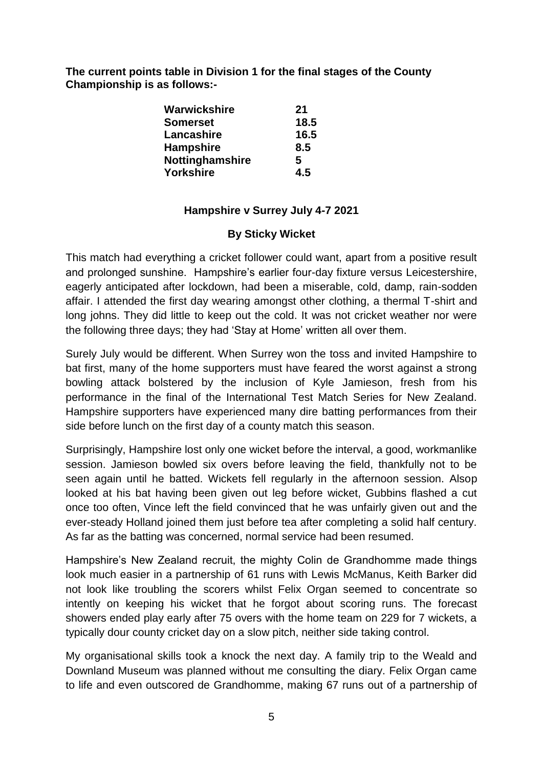**The current points table in Division 1 for the final stages of the County Championship is as follows:-**

| Warwickshire     | 21   |
|------------------|------|
| <b>Somerset</b>  | 18.5 |
| Lancashire       | 16.5 |
| <b>Hampshire</b> | 8.5  |
| Nottinghamshire  | 5    |
| <b>Yorkshire</b> | 45   |

# **Hampshire v Surrey July 4-7 2021**

## **By Sticky Wicket**

This match had everything a cricket follower could want, apart from a positive result and prolonged sunshine. Hampshire's earlier four-day fixture versus Leicestershire, eagerly anticipated after lockdown, had been a miserable, cold, damp, rain-sodden affair. I attended the first day wearing amongst other clothing, a thermal T-shirt and long johns. They did little to keep out the cold. It was not cricket weather nor were the following three days; they had 'Stay at Home' written all over them.

Surely July would be different. When Surrey won the toss and invited Hampshire to bat first, many of the home supporters must have feared the worst against a strong bowling attack bolstered by the inclusion of Kyle Jamieson, fresh from his performance in the final of the International Test Match Series for New Zealand. Hampshire supporters have experienced many dire batting performances from their side before lunch on the first day of a county match this season.

Surprisingly, Hampshire lost only one wicket before the interval, a good, workmanlike session. Jamieson bowled six overs before leaving the field, thankfully not to be seen again until he batted. Wickets fell regularly in the afternoon session. Alsop looked at his bat having been given out leg before wicket, Gubbins flashed a cut once too often, Vince left the field convinced that he was unfairly given out and the ever-steady Holland joined them just before tea after completing a solid half century. As far as the batting was concerned, normal service had been resumed.

Hampshire's New Zealand recruit, the mighty Colin de Grandhomme made things look much easier in a partnership of 61 runs with Lewis McManus, Keith Barker did not look like troubling the scorers whilst Felix Organ seemed to concentrate so intently on keeping his wicket that he forgot about scoring runs. The forecast showers ended play early after 75 overs with the home team on 229 for 7 wickets, a typically dour county cricket day on a slow pitch, neither side taking control.

My organisational skills took a knock the next day. A family trip to the Weald and Downland Museum was planned without me consulting the diary. Felix Organ came to life and even outscored de Grandhomme, making 67 runs out of a partnership of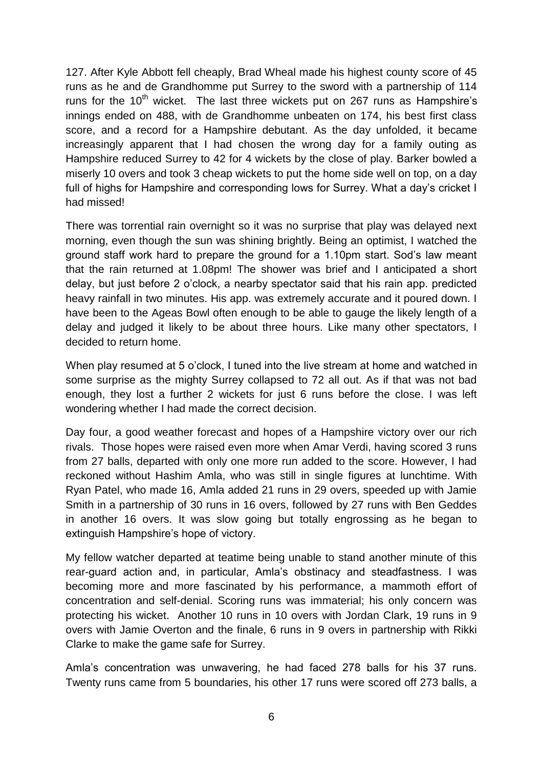127. After Kyle Abbott fell cheaply, Brad Wheal made his highest county score of 45 runs as he and de Grandhomme put Surrey to the sword with a partnership of 114 runs for the  $10<sup>th</sup>$  wicket. The last three wickets put on 267 runs as Hampshire's innings ended on 488, with de Grandhomme unbeaten on 174, his best first class score, and a record for a Hampshire debutant. As the day unfolded, it became increasingly apparent that I had chosen the wrong day for a family outing as Hampshire reduced Surrey to 42 for 4 wickets by the close of play. Barker bowled a miserly 10 overs and took 3 cheap wickets to put the home side well on top, on a day full of highs for Hampshire and corresponding lows for Surrey. What a day's cricket I had missed!

There was torrential rain overnight so it was no surprise that play was delayed next morning, even though the sun was shining brightly. Being an optimist, I watched the ground staff work hard to prepare the ground for a 1.10pm start. Sod's law meant that the rain returned at 1.08pm! The shower was brief and I anticipated a short delay, but just before 2 o'clock, a nearby spectator said that his rain app. predicted heavy rainfall in two minutes. His app. was extremely accurate and it poured down. I have been to the Ageas Bowl often enough to be able to gauge the likely length of a delay and judged it likely to be about three hours. Like many other spectators, I decided to return home.

When play resumed at 5 o'clock, I tuned into the live stream at home and watched in some surprise as the mighty Surrey collapsed to 72 all out. As if that was not bad enough, they lost a further 2 wickets for just 6 runs before the close. I was left wondering whether I had made the correct decision.

Day four, a good weather forecast and hopes of a Hampshire victory over our rich rivals. Those hopes were raised even more when Amar Verdi, having scored 3 runs from 27 balls, departed with only one more run added to the score. However, I had reckoned without Hashim Amla, who was still in single figures at lunchtime. With Ryan Patel, who made 16, Amla added 21 runs in 29 overs, speeded up with Jamie Smith in a partnership of 30 runs in 16 overs, followed by 27 runs with Ben Geddes in another 16 overs. It was slow going but totally engrossing as he began to extinguish Hampshire's hope of victory.

My fellow watcher departed at teatime being unable to stand another minute of this rear-guard action and, in particular, Amla's obstinacy and steadfastness. I was becoming more and more fascinated by his performance, a mammoth effort of concentration and self-denial. Scoring runs was immaterial; his only concern was protecting his wicket. Another 10 runs in 10 overs with Jordan Clark, 19 runs in 9 overs with Jamie Overton and the finale, 6 runs in 9 overs in partnership with Rikki Clarke to make the game safe for Surrey.

Amla's concentration was unwavering, he had faced 278 balls for his 37 runs. Twenty runs came from 5 boundaries, his other 17 runs were scored off 273 balls, a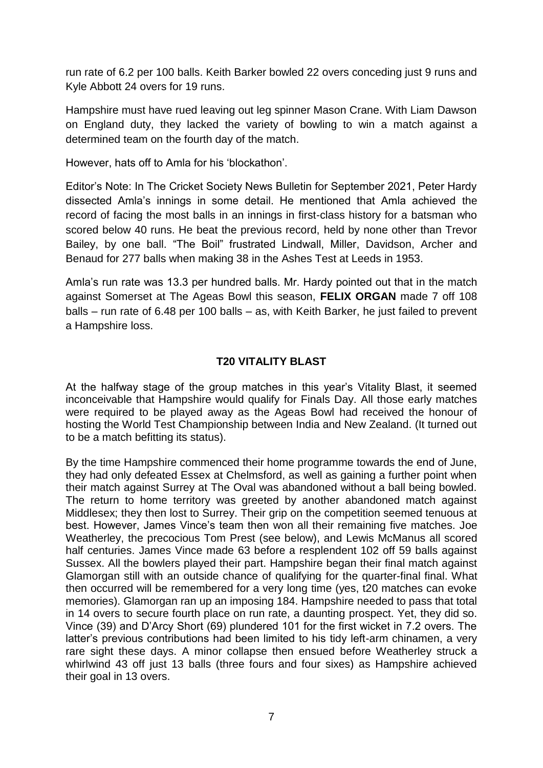run rate of 6.2 per 100 balls. Keith Barker bowled 22 overs conceding just 9 runs and Kyle Abbott 24 overs for 19 runs.

Hampshire must have rued leaving out leg spinner Mason Crane. With Liam Dawson on England duty, they lacked the variety of bowling to win a match against a determined team on the fourth day of the match.

However, hats off to Amla for his 'blockathon'.

Editor's Note: In The Cricket Society News Bulletin for September 2021, Peter Hardy dissected Amla's innings in some detail. He mentioned that Amla achieved the record of facing the most balls in an innings in first-class history for a batsman who scored below 40 runs. He beat the previous record, held by none other than Trevor Bailey, by one ball. "The Boil" frustrated Lindwall, Miller, Davidson, Archer and Benaud for 277 balls when making 38 in the Ashes Test at Leeds in 1953.

Amla's run rate was 13.3 per hundred balls. Mr. Hardy pointed out that in the match against Somerset at The Ageas Bowl this season, **FELIX ORGAN** made 7 off 108 balls – run rate of 6.48 per 100 balls – as, with Keith Barker, he just failed to prevent a Hampshire loss.

## **T20 VITALITY BLAST**

At the halfway stage of the group matches in this year's Vitality Blast, it seemed inconceivable that Hampshire would qualify for Finals Day. All those early matches were required to be played away as the Ageas Bowl had received the honour of hosting the World Test Championship between India and New Zealand. (It turned out to be a match befitting its status).

By the time Hampshire commenced their home programme towards the end of June, they had only defeated Essex at Chelmsford, as well as gaining a further point when their match against Surrey at The Oval was abandoned without a ball being bowled. The return to home territory was greeted by another abandoned match against Middlesex; they then lost to Surrey. Their grip on the competition seemed tenuous at best. However, James Vince's team then won all their remaining five matches. Joe Weatherley, the precocious Tom Prest (see below), and Lewis McManus all scored half centuries. James Vince made 63 before a resplendent 102 off 59 balls against Sussex. All the bowlers played their part. Hampshire began their final match against Glamorgan still with an outside chance of qualifying for the quarter-final final. What then occurred will be remembered for a very long time (yes, t20 matches can evoke memories). Glamorgan ran up an imposing 184. Hampshire needed to pass that total in 14 overs to secure fourth place on run rate, a daunting prospect. Yet, they did so. Vince (39) and D'Arcy Short (69) plundered 101 for the first wicket in 7.2 overs. The latter's previous contributions had been limited to his tidy left-arm chinamen, a very rare sight these days. A minor collapse then ensued before Weatherley struck a whirlwind 43 off just 13 balls (three fours and four sixes) as Hampshire achieved their goal in 13 overs.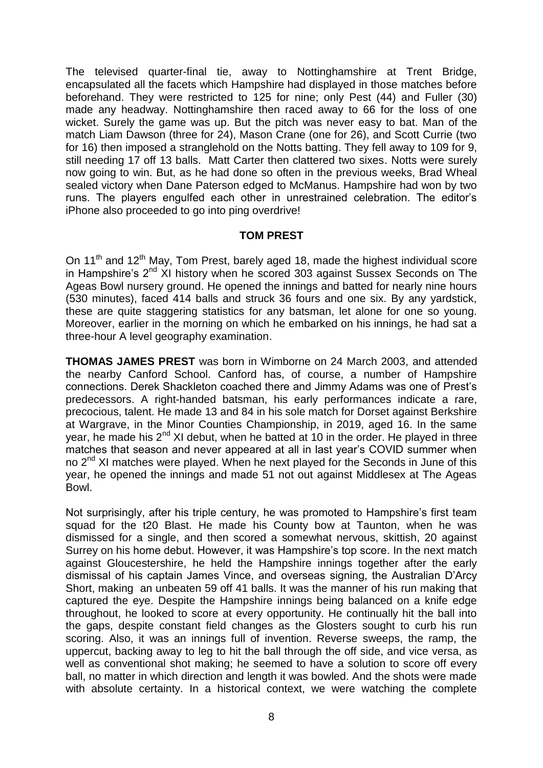The televised quarter-final tie, away to Nottinghamshire at Trent Bridge, encapsulated all the facets which Hampshire had displayed in those matches before beforehand. They were restricted to 125 for nine; only Pest (44) and Fuller (30) made any headway. Nottinghamshire then raced away to 66 for the loss of one wicket. Surely the game was up. But the pitch was never easy to bat. Man of the match Liam Dawson (three for 24), Mason Crane (one for 26), and Scott Currie (two for 16) then imposed a stranglehold on the Notts batting. They fell away to 109 for 9, still needing 17 off 13 balls. Matt Carter then clattered two sixes. Notts were surely now going to win. But, as he had done so often in the previous weeks, Brad Wheal sealed victory when Dane Paterson edged to McManus. Hampshire had won by two runs. The players engulfed each other in unrestrained celebration. The editor's iPhone also proceeded to go into ping overdrive!

#### **TOM PREST**

On  $11<sup>th</sup>$  and  $12<sup>th</sup>$  May, Tom Prest, barely aged 18, made the highest individual score in Hampshire's 2<sup>nd</sup> XI history when he scored 303 against Sussex Seconds on The Ageas Bowl nursery ground. He opened the innings and batted for nearly nine hours (530 minutes), faced 414 balls and struck 36 fours and one six. By any yardstick, these are quite staggering statistics for any batsman, let alone for one so young. Moreover, earlier in the morning on which he embarked on his innings, he had sat a three-hour A level geography examination.

**THOMAS JAMES PREST** was born in Wimborne on 24 March 2003, and attended the nearby Canford School. Canford has, of course, a number of Hampshire connections. Derek Shackleton coached there and Jimmy Adams was one of Prest's predecessors. A right-handed batsman, his early performances indicate a rare, precocious, talent. He made 13 and 84 in his sole match for Dorset against Berkshire at Wargrave, in the Minor Counties Championship, in 2019, aged 16. In the same year, he made his 2<sup>nd</sup> XI debut, when he batted at 10 in the order. He played in three matches that season and never appeared at all in last year's COVID summer when no 2<sup>nd</sup> XI matches were played. When he next played for the Seconds in June of this year, he opened the innings and made 51 not out against Middlesex at The Ageas Bowl.

Not surprisingly, after his triple century, he was promoted to Hampshire's first team squad for the t20 Blast. He made his County bow at Taunton, when he was dismissed for a single, and then scored a somewhat nervous, skittish, 20 against Surrey on his home debut. However, it was Hampshire's top score. In the next match against Gloucestershire, he held the Hampshire innings together after the early dismissal of his captain James Vince, and overseas signing, the Australian D'Arcy Short, making an unbeaten 59 off 41 balls. It was the manner of his run making that captured the eye. Despite the Hampshire innings being balanced on a knife edge throughout, he looked to score at every opportunity. He continually hit the ball into the gaps, despite constant field changes as the Glosters sought to curb his run scoring. Also, it was an innings full of invention. Reverse sweeps, the ramp, the uppercut, backing away to leg to hit the ball through the off side, and vice versa, as well as conventional shot making; he seemed to have a solution to score off every ball, no matter in which direction and length it was bowled. And the shots were made with absolute certainty. In a historical context, we were watching the complete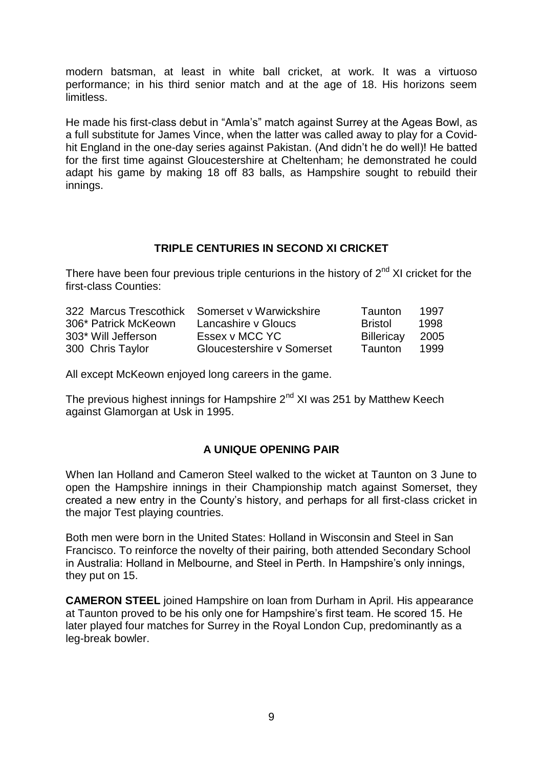modern batsman, at least in white ball cricket, at work. It was a virtuoso performance; in his third senior match and at the age of 18. His horizons seem limitless.

He made his first-class debut in "Amla's" match against Surrey at the Ageas Bowl, as a full substitute for James Vince, when the latter was called away to play for a Covidhit England in the one-day series against Pakistan. (And didn't he do well)! He batted for the first time against Gloucestershire at Cheltenham; he demonstrated he could adapt his game by making 18 off 83 balls, as Hampshire sought to rebuild their innings.

#### **TRIPLE CENTURIES IN SECOND XI CRICKET**

There have been four previous triple centurions in the history of  $2^{nd}$  XI cricket for the first-class Counties:

|                      | 322 Marcus Trescothick Somerset v Warwickshire | Taunton         | 1997 |
|----------------------|------------------------------------------------|-----------------|------|
| 306* Patrick McKeown | Lancashire y Gloucs                            | <b>Bristol</b>  | 1998 |
| 303* Will Jefferson  | Essex v MCC YC                                 | Billericay 2005 |      |
| 300 Chris Taylor     | Gloucestershire v Somerset                     | Taunton         | 1999 |

All except McKeown enjoyed long careers in the game.

The previous highest innings for Hampshire  $2<sup>nd</sup>$  XI was 251 by Matthew Keech against Glamorgan at Usk in 1995.

## **A UNIQUE OPENING PAIR**

When Ian Holland and Cameron Steel walked to the wicket at Taunton on 3 June to open the Hampshire innings in their Championship match against Somerset, they created a new entry in the County's history, and perhaps for all first-class cricket in the major Test playing countries.

Both men were born in the United States: Holland in Wisconsin and Steel in San Francisco. To reinforce the novelty of their pairing, both attended Secondary School in Australia: Holland in Melbourne, and Steel in Perth. In Hampshire's only innings, they put on 15.

**CAMERON STEEL** joined Hampshire on loan from Durham in April. His appearance at Taunton proved to be his only one for Hampshire's first team. He scored 15. He later played four matches for Surrey in the Royal London Cup, predominantly as a leg-break bowler.